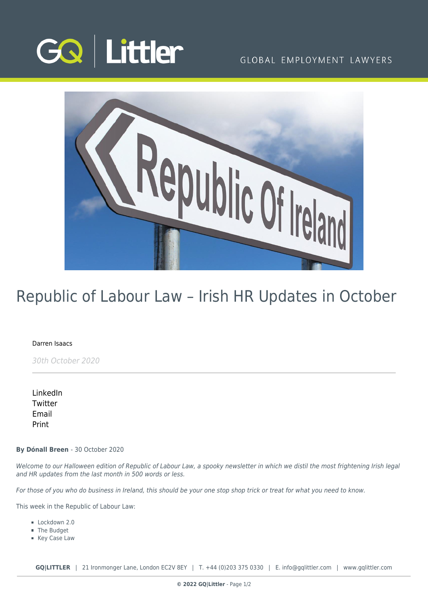

# GLOBAL EMPLOYMENT LAWYERS



# Republic of Labour Law – Irish HR Updates in October

# [Darren Isaacs](https://www.gqlittler.com/about-us/the-team/darren-isaacs)

30th October 2020

[LinkedIn](https://www.linkedin.com/shareArticle?mini=true&url=https%3A%2F%2Fwww.gqlittler.com%2Fresources%2Fnews-and-views%2Frepublic-of-labour-law-irish-hr-updates-in-october.htm%3Funlock%3Dtrue&title=Republic+of+Labour+Law+%E2%80%93+Irish+HR+Updates+in+October&summary=Welcome+to+our+Halloween+edition+of+Republic+of+Labour+Law%2C+a+spooky+newsletter+in+which+we+distil+the+most+frightening+Irish+legal+and+HR+updates+from+the+last+month+in+500+words+or+less.&source=GQ+%7C+Littler) **[Twitter](https://twitter.com/share?text=Republic+of+Labour+Law+%E2%80%93+Irish+HR+Updates+in+October&url=https%3A%2F%2Fwww.gqlittler.com%2Fresources%2Fnews-and-views%2Frepublic-of-labour-law-irish-hr-updates-in-october.htm&hashtags=)** [Email](mailto:?subject=Republic of Labour Law – Irish HR Updates in October&body=I) [Print](https://www.bg-pdf.co.uk/_GQ/page.php?M=6148523063484d364c793933643363755a33467361585230624756794c6d4e76625339795a584e7664584a6a5a584d76626d563363793168626d5174646d6c6c64334d76636d567764574a7361574d746232597462474669623356794c57786864793170636d6c7a6143316f63693131634752686447567a4c576c754c57396a644739695a584975614852744930416a556d567764574a7361574d676232596754474669623356794945786864794469674a4d6753584a7063326767534649675658426b5958526c637942706269425059335276596d56794930416a636d567764574a7361574d746232597462474669623356794c57786864793170636d6c7a6143316f63693131634752686447567a4c576c754c57396a644739695a58493d)

#### **By Dónall Breen** - 30 October 2020

Welcome to our Halloween edition of Republic of Labour Law, a spooky newsletter in which we distil the most frightening Irish legal and HR updates from the last month in 500 words or less.

For those of you who do business in Ireland, this should be your one stop shop trick or treat for what you need to know.

This week in the Republic of Labour Law:

- Lockdown 2.0
- The Budget
- Key Case Law

**GQ|LITTLER** | 21 Ironmonger Lane, London EC2V 8EY | T. [+44 \(0\)203 375 0330](https://www.bg-pdf.co.uk/_GQ/tel:+442033750330) | E. [info@gqlittler.com](mailto:info@gqlittler.com) | [www.gqlittler.com](https://www.gqlittler.com)